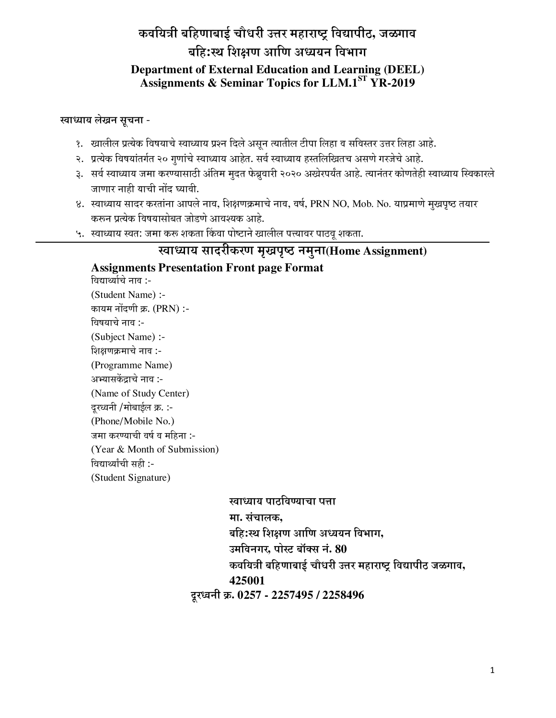# कवयित्री बहिणाबाई चौधरी उत्तर महाराष्ट्र विद्यापीठ, जळगाव बहि:स्थ शिक्षण आणि अध्ययन विभाग

#### **Department of External Education and Learning (DEEL) Assignments & Seminar Topics for LLM.1ST YR-2019**

#### **स्वाध्याय लेखन सूचना** -

- <u>3. Eघालील प्रत्येक विषयाचे स्वाध्याय प्रश्न दिले असून त्यातील टीपा लिहा व सविस्तर उत्तर लिहा आहे.</u>
- २. प्रत्येक विषयांतर्गत २० गुणांचे स्वाध्याय आहेत. सर्व स्वाध्याय हस्तलिखितच असणे गरजेचे आहे.
- ३. सर्व स्वाध्याय जमा करण्यासाठी अंतिम मुदत फेब्रुवारी २०२० अखेरपर्यंत आहे. त्यानंतर कोणतेही स्वाध्याय स्विकारले जाणार नाही याची नोंद घ्यावी.
- 8. स्वाध्याय सादर करतांना आपले नाव, शिक्षणक्रमाचे नाव, वर्ष, PRN NO, Mob. No. याप्रमाणे मुखपृष्ठ तयार करून प्रत्येक विषयासोबत जोडणे आवश्यक आहे.
- ५. स्वाध्याय स्वत: जमा करू शकता किंवा पोष्टाने खालील पत्त्यावर पाठवू शकता.

ख्याध्याय सादरीकरण मृखपृष्ठ नमुना(Home Assignment) **Assignments Presentation Front page Format** विद्यार्थ्याचे नाव :-(Student Name) :- कायम नोंदणी क्र. (PRN) :-विषयाचे नाव :-(Subject Name) :- शिक्षणक्रमाचे नाव :-(Programme Name) अभ्यासकेंद्राचे नाव :-(Name of Study Center) दूरध्वनी /मोबाईल क्र. :-(Phone/Mobile No.) जमा करण्याची वर्ष व महिना :-(Year & Month of Submission) विद्यार्थ्यांची सही :-(Student Signature) खाध्याय पाठविण्याचा पत्ता मा. संचालक**,** बहि:स्थ शिक्षण आणि अध्ययन विभाग, उमविनगर, पोस्ट बॉक्स नं. 80 कवयित्री बहिणाबाई चौधरी उत्तर महाराष्ट्र विद्यापीठ जळगाव, **425001**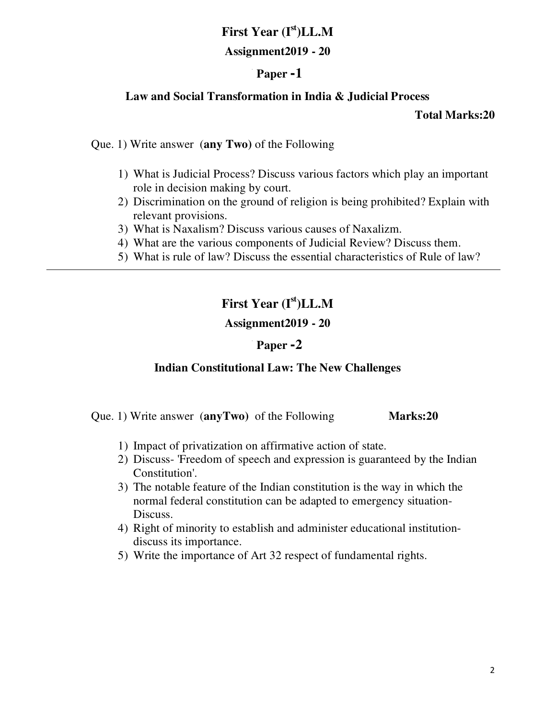# **First Year (Ist)LL.M**

#### **Assignment2019 - 20**

## **ü Paper -1**

#### **Law and Social Transformation in India & Judicial Process**

#### **Total Marks:20**

Que. 1) Write answer (**any Two)** of the Following

- 1) What is Judicial Process? Discuss various factors which play an important role in decision making by court.
- 2) Discrimination on the ground of religion is being prohibited? Explain with relevant provisions.
- 3) What is Naxalism? Discuss various causes of Naxalizm.
- 4) What are the various components of Judicial Review? Discuss them.
- 5) What is rule of law? Discuss the essential characteristics of Rule of law?

# **First Year (Ist)LL.M**

#### **Assignment2019 - 20**

#### **ü Paper -2**

#### **Indian Constitutional Law: The New Challenges**

Que. 1) Write answer (**anyTwo)** of the Following **Marks:20** 

- 1) Impact of privatization on affirmative action of state.
- 2) Discuss- 'Freedom of speech and expression is guaranteed by the Indian Constitution'.
- 3) The notable feature of the Indian constitution is the way in which the normal federal constitution can be adapted to emergency situation-Discuss.
- 4) Right of minority to establish and administer educational institutiondiscuss its importance.
- 5) Write the importance of Art 32 respect of fundamental rights.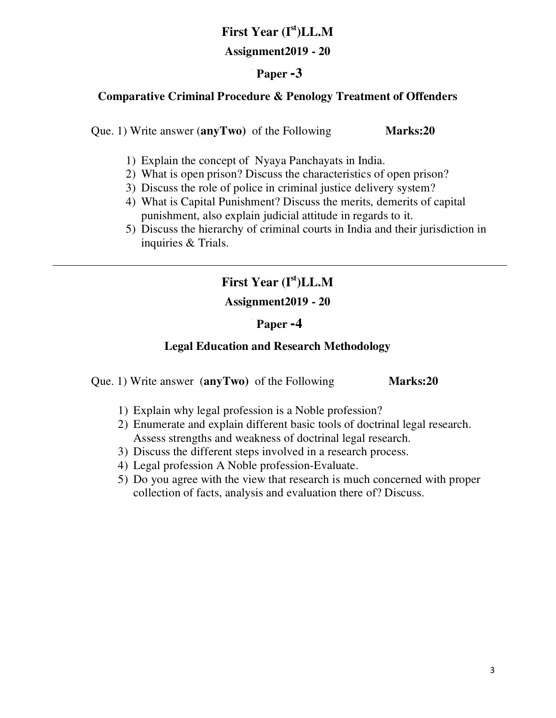# **First Year (Ist)LL.M**

#### **Assignment2019 - 20**

## **ü Paper -3**

#### **Comparative Criminal Procedure & Penology Treatment of Offenders**

Que. 1) Write answer (**anyTwo)** of the Following **Marks:20** 

- 1) Explain the concept of Nyaya Panchayats in India.
- 2) What is open prison? Discuss the characteristics of open prison?
- 3) Discuss the role of police in criminal justice delivery system?
- 4) What is Capital Punishment? Discuss the merits, demerits of capital punishment, also explain judicial attitude in regards to it.
- 5) Discuss the hierarchy of criminal courts in India and their jurisdiction in inquiries & Trials.

# **First Year (Ist)LL.M**

## **Assignment2019 - 20**

## **ü Paper -4**

#### **Legal Education and Research Methodology**

Que. 1) Write answer (**anyTwo)** of the Following **Marks:20** 

- 1) Explain why legal profession is a Noble profession?
- 2) Enumerate and explain different basic tools of doctrinal legal research. Assess strengths and weakness of doctrinal legal research.
- 3) Discuss the different steps involved in a research process.
- 4) Legal profession A Noble profession-Evaluate.
- 5) Do you agree with the view that research is much concerned with proper collection of facts, analysis and evaluation there of? Discuss.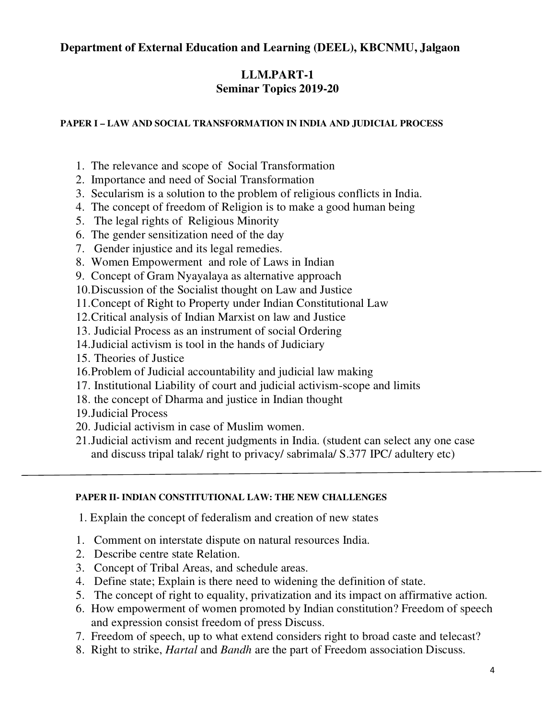#### **Department of External Education and Learning (DEEL), KBCNMU, Jalgaon**

#### **LLM.PART-1 Seminar Topics 2019-20**

#### **PAPER I – LAW AND SOCIAL TRANSFORMATION IN INDIA AND JUDICIAL PROCESS**

- 1. The relevance and scope of Social Transformation
- 2. Importance and need of Social Transformation
- 3. Secularism is a solution to the problem of religious conflicts in India.
- 4. The concept of freedom of Religion is to make a good human being
- 5. The legal rights of Religious Minority
- 6. The gender sensitization need of the day
- 7. Gender injustice and its legal remedies.
- 8. Women Empowerment and role of Laws in Indian
- 9. Concept of Gram Nyayalaya as alternative approach
- 10.Discussion of the Socialist thought on Law and Justice
- 11.Concept of Right to Property under Indian Constitutional Law
- 12.Critical analysis of Indian Marxist on law and Justice
- 13. Judicial Process as an instrument of social Ordering
- 14.Judicial activism is tool in the hands of Judiciary
- 15. Theories of Justice
- 16.Problem of Judicial accountability and judicial law making
- 17. Institutional Liability of court and judicial activism-scope and limits
- 18. the concept of Dharma and justice in Indian thought
- 19.Judicial Process
- 20. Judicial activism in case of Muslim women.
- 21.Judicial activism and recent judgments in India. (student can select any one case and discuss tripal talak/ right to privacy/ sabrimala/ S.377 IPC/ adultery etc)

#### **PAPER II- INDIAN CONSTITUTIONAL LAW: THE NEW CHALLENGES**

- 1. Explain the concept of federalism and creation of new states
- 1. Comment on interstate dispute on natural resources India.
- 2. Describe centre state Relation.
- 3. Concept of Tribal Areas, and schedule areas.
- 4. Define state; Explain is there need to widening the definition of state.
- 5. The concept of right to equality, privatization and its impact on affirmative action.
- 6. How empowerment of women promoted by Indian constitution? Freedom of speech and expression consist freedom of press Discuss.
- 7. Freedom of speech, up to what extend considers right to broad caste and telecast?
- 8. Right to strike, *Hartal* and *Bandh* are the part of Freedom association Discuss.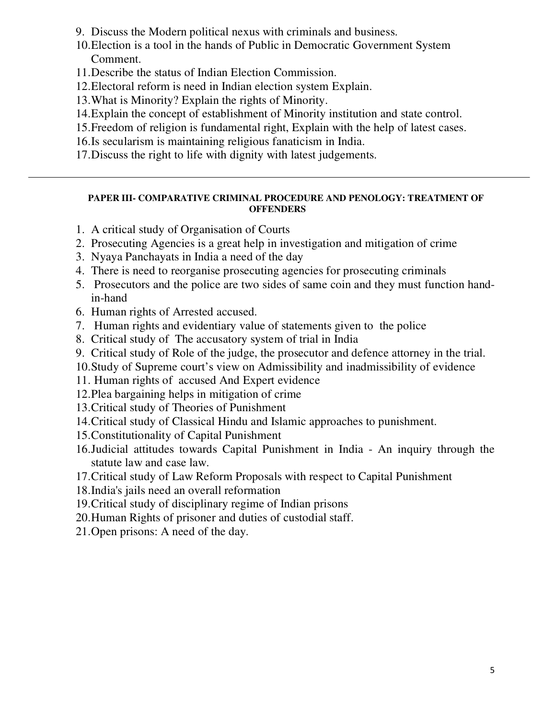9. Discuss the Modern political nexus with criminals and business.

- 10.Election is a tool in the hands of Public in Democratic Government System Comment.
- 11.Describe the status of Indian Election Commission.
- 12.Electoral reform is need in Indian election system Explain.
- 13.What is Minority? Explain the rights of Minority.
- 14.Explain the concept of establishment of Minority institution and state control.
- 15.Freedom of religion is fundamental right, Explain with the help of latest cases.
- 16.Is secularism is maintaining religious fanaticism in India.
- 17.Discuss the right to life with dignity with latest judgements.

#### **PAPER III- COMPARATIVE CRIMINAL PROCEDURE AND PENOLOGY: TREATMENT OF OFFENDERS**

- 1. A critical study of Organisation of Courts
- 2. Prosecuting Agencies is a great help in investigation and mitigation of crime
- 3. Nyaya Panchayats in India a need of the day
- 4. There is need to reorganise prosecuting agencies for prosecuting criminals
- 5. Prosecutors and the police are two sides of same coin and they must function handin-hand
- 6. Human rights of Arrested accused.

- 7. Human rights and evidentiary value of statements given to the police
- 8. Critical study of The accusatory system of trial in India
- 9. Critical study of Role of the judge, the prosecutor and defence attorney in the trial.
- 10.Study of Supreme court's view on Admissibility and inadmissibility of evidence
- 11. Human rights of accused And Expert evidence
- 12.Plea bargaining helps in mitigation of crime
- 13.Critical study of Theories of Punishment
- 14.Critical study of Classical Hindu and Islamic approaches to punishment.
- 15.Constitutionality of Capital Punishment
- 16.Judicial attitudes towards Capital Punishment in India An inquiry through the statute law and case law.
- 17.Critical study of Law Reform Proposals with respect to Capital Punishment
- 18.India's jails need an overall reformation
- 19.Critical study of disciplinary regime of Indian prisons
- 20.Human Rights of prisoner and duties of custodial staff.
- 21.Open prisons: A need of the day.